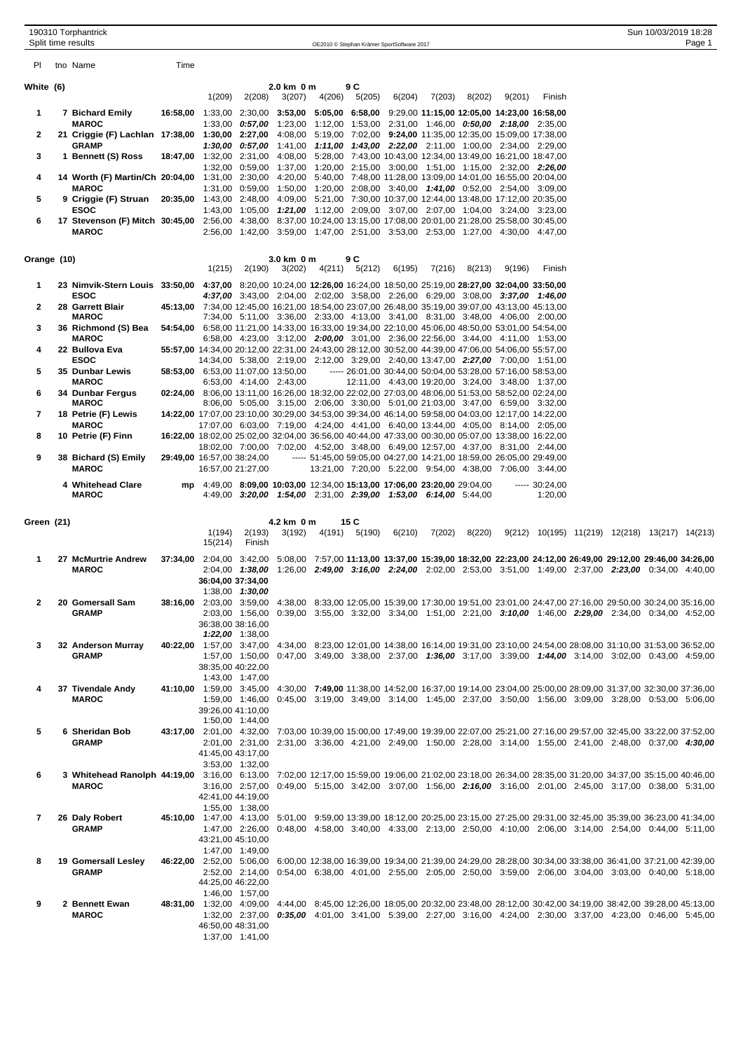|              | 190310 Torphantrick<br>Split time results                                                                                                                               |      |                                                                                                                                               |                   |                                                                 |        |                       | OE2010 © Stephan Krämer SportSoftware 2017 |        |        |                                                                                                                                                  |                           |  | Sun 10/03/2019 18:28                           | Page 1 |
|--------------|-------------------------------------------------------------------------------------------------------------------------------------------------------------------------|------|-----------------------------------------------------------------------------------------------------------------------------------------------|-------------------|-----------------------------------------------------------------|--------|-----------------------|--------------------------------------------|--------|--------|--------------------------------------------------------------------------------------------------------------------------------------------------|---------------------------|--|------------------------------------------------|--------|
| PI.          | tno Name                                                                                                                                                                | Time |                                                                                                                                               |                   |                                                                 |        |                       |                                            |        |        |                                                                                                                                                  |                           |  |                                                |        |
| White (6)    |                                                                                                                                                                         |      |                                                                                                                                               |                   | 2.0 km 0 m                                                      |        | 9 C                   |                                            |        |        |                                                                                                                                                  |                           |  |                                                |        |
|              |                                                                                                                                                                         |      | 1(209)                                                                                                                                        | 2(208)            | 3(207)                                                          | 4(206) | 5(205)                | 6(204)                                     | 7(203) | 8(202) | 9(201)                                                                                                                                           | Finish                    |  |                                                |        |
| 1            | 7 Bichard Emily                                                                                                                                                         |      | 16:58,00 1:33,00 2:30,00 3:53,00 5:05,00 6:58,00                                                                                              |                   |                                                                 |        |                       |                                            |        |        | 9:29,00 11:15,00 12:05,00 14:23,00 16:58,00                                                                                                      |                           |  |                                                |        |
| 2            | <b>MAROC</b><br>21 Criggie (F) Lachlan 17:38,00 1:30,00 2:27,00 4:08,00 5:19,00 7:02,00 9:24,00 11:35,00 12:35,00 15:09,00 17:38,00                                     |      |                                                                                                                                               |                   |                                                                 |        |                       |                                            |        |        | 1:33,00 0:57,00 1:23,00 1:12,00 1:53,00 2:31,00 1:46,00 0:50,00 2:18,00 2:35,00                                                                  |                           |  |                                                |        |
| 3            | <b>GRAMP</b><br>1 Bennett (S) Ross                                                                                                                                      |      | 18:47,00 1:32,00 2:31,00 4:08,00 5:28,00 7:43,00 10:43,00 12:34,00 13:49,00 16:21,00 18:47,00                                                 |                   |                                                                 |        |                       |                                            |        |        | 1:30,00 0:57,00 1:41,00 1:11,00 1:43,00 2:22,00 2:11,00 1:00,00 2:34,00 2:29,00                                                                  |                           |  |                                                |        |
| 4            | 14 Worth (F) Martin/Ch 20:04,00 1:31,00 2:30,00 4:20,00 5:40,00 7:48,00 11:28,00 13:09,00 14:01,00 16:55,00 20:04,00                                                    |      |                                                                                                                                               |                   |                                                                 |        |                       |                                            |        |        | 1:32,00 0:59,00 1:37,00 1:20,00 2:15,00 3:00,00 1:51,00 1:15,00 2:32,00 2:26,00                                                                  |                           |  |                                                |        |
| 5            | <b>MAROC</b><br>9 Criggie (F) Struan                                                                                                                                    |      | 20:35,00 1:43,00 2:48,00 4:09,00 5:21,00 7:30,00 10:37,00 12:44,00 13:48,00 17:12,00 20:35,00                                                 |                   |                                                                 |        |                       |                                            |        |        | 1:31,00 0:59,00 1:50,00 1:20,00 2:08,00 3:40,00 1:41,00 0:52,00 2:54,00 3:09,00                                                                  |                           |  |                                                |        |
| 6            | ESOC<br>17 Stevenson (F) Mitch 30:45,00 2:56,00 4:38,00 8:37,00 10:24,00 13:15,00 17:08,00 20:01,00 21:28,00 25:58,00 30:45,00                                          |      |                                                                                                                                               |                   |                                                                 |        |                       |                                            |        |        | 1:43,00 1:05,00 1:21,00 1:12,00 2:09,00 3:07,00 2:07,00 1:04,00 3:24,00 3:23,00                                                                  |                           |  |                                                |        |
|              | <b>MAROC</b>                                                                                                                                                            |      |                                                                                                                                               |                   |                                                                 |        |                       |                                            |        |        | 2:56,00 1:42,00 3:59,00 1:47,00 2:51,00 3:53,00 2:53,00 1:27,00 4:30,00 4:47,00                                                                  |                           |  |                                                |        |
| Orange (10)  |                                                                                                                                                                         |      |                                                                                                                                               |                   | 3.0 km 0 m                                                      |        | 9 C                   |                                            |        |        |                                                                                                                                                  |                           |  |                                                |        |
| 1            | 23 Nimvik-Stern Louis 33:50,00 4:37,00 8:20,00 10:24,00 12:26,00 16:24,00 18:50,00 25:19,00 28:27,00 32:04,00 33:50,00                                                  |      | 1(215)                                                                                                                                        | 2(190)            | 3(202)                                                          |        | 4(211) 5(212)         | 6(195)                                     | 7(216) | 8(213) | 9(196)                                                                                                                                           | Finish                    |  |                                                |        |
|              | ESOC                                                                                                                                                                    |      |                                                                                                                                               |                   |                                                                 |        |                       |                                            |        |        | 4:37,00 3:43,00 2:04,00 2:02,00 3:58,00 2:26,00 6:29,00 3:08,00 3:37,00 1:46,00                                                                  |                           |  |                                                |        |
| $\mathbf{2}$ | 28 Garrett Blair<br><b>MAROC</b>                                                                                                                                        |      | 45:13,00 7:34,00 12:45,00 16:21,00 18:54,00 23:07,00 26:48,00 35:19,00 39:07,00 43:13,00 45:13,00                                             |                   |                                                                 |        |                       |                                            |        |        | 7:34,00 5:11,00 3:36,00 2:33,00 4:13,00 3:41,00 8:31,00 3:48,00 4:06,00 2:00,00                                                                  |                           |  |                                                |        |
| 3            | 36 Richmond (S) Bea<br><b>MAROC</b>                                                                                                                                     |      | 54:54,00 6:58,00 11:21,00 14:33,00 16:33,00 19:34,00 22:10,00 45:06,00 48:50,00 53:01,00 54:54,00                                             |                   |                                                                 |        |                       |                                            |        |        | 6:58,00 4:23,00 3:12,00 2:00,00 3:01,00 2:36,00 22:56,00 3:44,00 4:11,00 1:53,00                                                                 |                           |  |                                                |        |
| 4            | 22 Bullova Eva                                                                                                                                                          |      | 55:57,00 14:34,00 20:12,00 22:31,00 24:43,00 28:12,00 30:52,00 44:39,00 47:06,00 54:06,00 55:57,00                                            |                   |                                                                 |        |                       |                                            |        |        |                                                                                                                                                  |                           |  |                                                |        |
| 5            | <b>ESOC</b><br>35 Dunbar Lewis                                                                                                                                          |      | 58:53,00 6:53,00 11:07,00 13:50,00                                                                                                            |                   |                                                                 |        |                       |                                            |        |        | 14:34,00 5:38,00 2:19,00 2:12,00 3:29,00 2:40,00 13:47,00 2:27,00 7:00,00 1:51,00<br>----- 26:01,00 30:44,00 50:04,00 53:28,00 57:16,00 58:53,00 |                           |  |                                                |        |
| 6            | <b>MAROC</b><br>34 Dunbar Fergus                                                                                                                                        |      | 02:24,00 8:06,00 13:11,00 16:26,00 18:32,00 22:02,00 27:03,00 48:06,00 51:53,00 58:52,00 02:24,00                                             |                   | 6:53,00 4:14,00 2:43,00                                         |        |                       |                                            |        |        | 12:11,00 4:43,00 19:20,00 3:24,00 3:48,00 1:37,00                                                                                                |                           |  |                                                |        |
| 7            | <b>MAROC</b><br>18 Petrie (F) Lewis                                                                                                                                     |      | 14:22,00 17:07,00 23:10,00 30:29,00 34:53,00 39:34,00 46:14,00 59:58,00 04:03,00 12:17,00 14:22,00                                            |                   |                                                                 |        |                       |                                            |        |        | 8:06,00 5:05,00 3:15,00 2:06,00 3:30,00 5:01,00 21:03,00 3:47,00 6:59,00 3:32,00                                                                 |                           |  |                                                |        |
|              | <b>MAROC</b>                                                                                                                                                            |      |                                                                                                                                               |                   |                                                                 |        |                       |                                            |        |        | 17:07,00 6:03,00 7:19,00 4:24,00 4:41,00 6:40,00 13:44,00 4:05,00 8:14,00 2:05,00                                                                |                           |  |                                                |        |
| 8            | 10 Petrie (F) Finn                                                                                                                                                      |      | 16:22,00 18:02,00 25:02,00 32:04,00 36:56,00 40:44,00 47:33,00 00:30,00 05:07,00 13:38,00 16:22,00                                            |                   |                                                                 |        |                       |                                            |        |        | 18:02,00 7:00,00 7:02,00 4:52,00 3:48,00 6:49,00 12:57,00 4:37,00 8:31,00 2:44,00                                                                |                           |  |                                                |        |
| 9            | 38 Bichard (S) Emily<br><b>MAROC</b>                                                                                                                                    |      | 29:49,00 16:57,00 38:24,00<br>16:57,00 21:27,00                                                                                               |                   |                                                                 |        |                       |                                            |        |        | ----- 51:45,00 59:05,00 04:27,00 14:21,00 18:59,00 26:05,00 29:49,00<br>13:21,00 7:20,00 5:22,00 9:54,00 4:38,00 7:06,00 3:44,00                 |                           |  |                                                |        |
|              | 4 Whitehead Clare<br><b>MAROC</b>                                                                                                                                       |      | mp 4:49,00 8:09,00 10:03,00 12:34,00 15:13,00 17:06,00 23:20,00 29:04,00                                                                      |                   | 4:49,00 3:20,00 1:54,00 2:31,00 2:39,00 1:53,00 6:14,00 5:44,00 |        |                       |                                            |        |        |                                                                                                                                                  | $--- 30:24,00$<br>1:20,00 |  |                                                |        |
|              |                                                                                                                                                                         |      |                                                                                                                                               |                   |                                                                 |        |                       |                                            |        |        |                                                                                                                                                  |                           |  |                                                |        |
| Green (21)   |                                                                                                                                                                         |      | 1(194)                                                                                                                                        | 2(193)            | 4.2 km 0 m<br>3(192)                                            |        | 15 C<br>4(191) 5(190) | 6(210)                                     | 7(202) | 8(220) |                                                                                                                                                  |                           |  | 9(212) 10(195) 11(219) 12(218) 13(217) 14(213) |        |
| 1            | 27 McMurtrie Andrew                                                                                                                                                     |      | 15(214)<br>37:34,00 2:04,00 3:42,00 5:08,00 7:57,00 11:13,00 13:37,00 15:39,00 18:32,00 22:23,00 24:12,00 26:49,00 29:12,00 29:46,00 34:26,00 | Finish            |                                                                 |        |                       |                                            |        |        |                                                                                                                                                  |                           |  |                                                |        |
|              | <b>MAROC</b>                                                                                                                                                            |      | 36:04,00 37:34,00                                                                                                                             | 1:38,00 1:30,00   |                                                                 |        |                       |                                            |        |        | 2:04,00 1:38,00 1:26,00 2:49,00 3:16,00 2:24,00 2:02,00 2:53,00 3:51,00 1:49,00 2:37,00 2:23,00 0:34,00 4:40,00                                  |                           |  |                                                |        |
| $\mathbf{2}$ | 20 Gomersall Sam<br><b>GRAMP</b>                                                                                                                                        |      | 38:16.00 2:03.00 3:59.00 4:38.00 8:33.00 12:05.00 15:39.00 17:30.00 19:51.00 23:01.00 24:47.00 27:16.00 29:50.00 30:24.00 35:16.00            |                   |                                                                 |        |                       |                                            |        |        |                                                                                                                                                  |                           |  |                                                |        |
|              |                                                                                                                                                                         |      | 36:38,00 38:16,00                                                                                                                             | $1:22,00$ 1:38,00 |                                                                 |        |                       |                                            |        |        | 2:03,00 1:56,00 0:39,00 3:55,00 3:32,00 3:34,00 1:51,00 2:21,00 3:10,00 1:46,00 2:29,00 2:34,00 0:34,00 4:52,00                                  |                           |  |                                                |        |
| 3            | 32 Anderson Murray                                                                                                                                                      |      | 40:22,00 1:57,00 3:47,00 4:34,00 8:23,00 12:01,00 14:38,00 16:14,00 19:31,00 23:10,00 24:54,00 28:08,00 31:10,00 31:53,00 36:52,00            |                   |                                                                 |        |                       |                                            |        |        |                                                                                                                                                  |                           |  |                                                |        |
|              | GRAMP                                                                                                                                                                   |      | 38:35,00 40:22,00                                                                                                                             | 1:43,00 1:47,00   |                                                                 |        |                       |                                            |        |        | 1:57,00 1:50,00 0:47,00 3:49,00 3:38,00 2:37,00 1:36,00 3:17,00 3:39,00 1:44,00 3:14,00 3:02,00 0:43,00 4:59,00                                  |                           |  |                                                |        |
| 4            | 37 Tivendale Andy                                                                                                                                                       |      | 41:10,00 1:59,00 3:45,00 4:30,00 7:49,00 11:38,00 14:52,00 16:37,00 19:14,00 23:04,00 25:00,00 28:09,00 31:37,00 32:30,00 37:36,00            |                   |                                                                 |        |                       |                                            |        |        |                                                                                                                                                  |                           |  |                                                |        |
|              | <b>MAROC</b>                                                                                                                                                            |      | 39:26,00 41:10,00                                                                                                                             |                   |                                                                 |        |                       |                                            |        |        | 1:59,00 1:46,00 0:45,00 3:19,00 3:49,00 3:14,00 1:45,00 2:37,00 3:50,00 1:56,00 3:09,00 3:28,00 0:53,00 5:06,00                                  |                           |  |                                                |        |
| 5            | 6 Sheridan Bob                                                                                                                                                          |      | 43:17,00 2:01,00 4:32,00 7:03,00 10:39,00 15:00,00 17:49,00 19:39,00 22:07,00 25:21,00 27:16,00 29:57,00 32:45,00 33:22,00 37:52,00           | 1:50,00 1:44,00   |                                                                 |        |                       |                                            |        |        |                                                                                                                                                  |                           |  |                                                |        |
|              | <b>GRAMP</b>                                                                                                                                                            |      | 41:45,00 43:17,00                                                                                                                             |                   |                                                                 |        |                       |                                            |        |        | 2:01.00 2:31.00 2:31.00 3:36.00 4:21.00 2:49.00 1:50.00 2:28.00 3:14.00 1:55.00 2:41.00 2:48.00 0:37.00 4:30.00                                  |                           |  |                                                |        |
|              |                                                                                                                                                                         |      |                                                                                                                                               | 3:53,00 1:32,00   |                                                                 |        |                       |                                            |        |        |                                                                                                                                                  |                           |  |                                                |        |
| 6            | 3 Whitehead Ranolph 44:19,00 3:16,00 6:13,00 7:02,00 12:17,00 15:59,00 19:06,00 21:02,00 23:18,00 26:34,00 28:35,00 31:20,00 34:37,00 35:15,00 40:46,00<br><b>MAROC</b> |      |                                                                                                                                               |                   |                                                                 |        |                       |                                            |        |        | 3:16,00 2:57,00 0:49,00 5:15,00 3:42,00 3:07,00 1:56,00 2:16,00 3:16,00 2:01,00 2:45,00 3:17,00 0:38,00 5:31,00                                  |                           |  |                                                |        |
|              |                                                                                                                                                                         |      | 42:41,00 44:19,00                                                                                                                             | 1:55,00 1:38,00   |                                                                 |        |                       |                                            |        |        |                                                                                                                                                  |                           |  |                                                |        |
| 7            | 26 Daly Robert                                                                                                                                                          |      | 45:10,00 1:47,00 4:13,00 5:01,00 9:59,00 13:39,00 18:12,00 20:25,00 23:15,00 27:25,00 29:31,00 32:45,00 35:39,00 36:23,00 41:34,00            |                   |                                                                 |        |                       |                                            |        |        |                                                                                                                                                  |                           |  |                                                |        |
|              | <b>GRAMP</b>                                                                                                                                                            |      | 43:21,00 45:10,00                                                                                                                             |                   |                                                                 |        |                       |                                            |        |        | 1:47,00 2:26,00 0:48,00 4:58,00 3:40,00 4:33,00 2:13,00 2:50,00 4:10,00 2:06,00 3:14,00 2:54,00 0:44,00 5:11,00                                  |                           |  |                                                |        |
| 8            | 19 Gomersall Lesley                                                                                                                                                     |      | 46:22,00 2:52,00 5:06,00 6:00,00 12:38,00 16:39,00 19:34,00 21:39,00 24:29,00 28:28,00 30:34,00 33:38,00 36:41,00 37:21,00 42:39,00           | 1:47,00 1:49,00   |                                                                 |        |                       |                                            |        |        |                                                                                                                                                  |                           |  |                                                |        |
|              | <b>GRAMP</b>                                                                                                                                                            |      | 44:25,00 46:22,00                                                                                                                             |                   |                                                                 |        |                       |                                            |        |        | 2:52,00 2:14,00 0:54,00 6:38,00 4:01,00 2:55,00 2:05,00 2:50,00 3:59,00 2:06,00 3:04,00 3:03,00 0:40,00 5:18,00                                  |                           |  |                                                |        |
|              |                                                                                                                                                                         |      |                                                                                                                                               | 1:46,00 1:57,00   |                                                                 |        |                       |                                            |        |        |                                                                                                                                                  |                           |  |                                                |        |
| 9            | 2 Bennett Ewan<br><b>MAROC</b>                                                                                                                                          |      | 48:31,00 1:32,00 4:09,00 4:44,00 8:45,00 12:26,00 18:05,00 20:32,00 23:48,00 28:12,00 30:42,00 34:19,00 38:42,00 39:28,00 45:13,00            |                   |                                                                 |        |                       |                                            |        |        | 1:32,00 2:37,00 0:46,00 4:01,00 3:41,00 5:39,00 2:27,00 3:16,00 4:24,00 2:30,00 3:37,00 4:23,00 0:46,00 5:45,00                                  |                           |  |                                                |        |
|              |                                                                                                                                                                         |      | 46:50,00 48:31,00                                                                                                                             | 1:37,00 1:41,00   |                                                                 |        |                       |                                            |        |        |                                                                                                                                                  |                           |  |                                                |        |